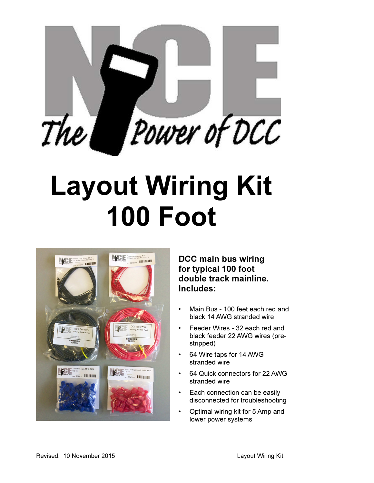

# Layout Wiring Kit 100 Foot



DCC main bus wiring for typical 100 foot double track mainline. Includes:

- Main Bus 100 feet each red and black 14 AWG stranded wire
- Feeder Wires 32 each red and black feeder 22 AWG wires (prestripped)
- 64 Wire taps for 14 AWG stranded wire
- 64 Quick connectors for 22 AWG stranded wire
- Each connection can be easily disconnected for troubleshooting
- Optimal wiring kit for 5 Amp and lower power systems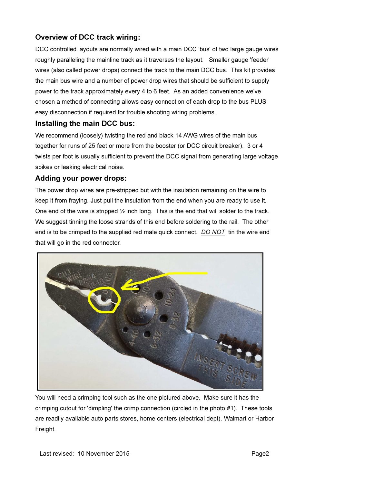## Overview of DCC track wiring:

DCC controlled layouts are normally wired with a main DCC 'bus' of two large gauge wires roughly paralleling the mainline track as it traverses the layout. Smaller gauge 'feeder' wires (also called power drops) connect the track to the main DCC bus. This kit provides the main bus wire and a number of power drop wires that should be sufficient to supply power to the track approximately every 4 to 6 feet. As an added convenience we've chosen a method of connecting allows easy connection of each drop to the bus PLUS easy disconnection if required for trouble shooting wiring problems.

#### Installing the main DCC bus:

We recommend (loosely) twisting the red and black 14 AWG wires of the main bus together for runs of 25 feet or more from the booster (or DCC circuit breaker). 3 or 4 twists per foot is usually sufficient to prevent the DCC signal from generating large voltage spikes or leaking electrical noise.

### Adding your power drops:

The power drop wires are pre-stripped but with the insulation remaining on the wire to keep it from fraying. Just pull the insulation from the end when you are ready to use it. One end of the wire is stripped  $\frac{1}{2}$  inch long. This is the end that will solder to the track. We suggest tinning the loose strands of this end before soldering to the rail. The other end is to be crimped to the supplied red male quick connect. DO NOT tin the wire end that will go in the red connector.



You will need a crimping tool such as the one pictured above. Make sure it has the crimping cutout for 'dimpling' the crimp connection (circled in the photo #1). These tools are readily available auto parts stores, home centers (electrical dept), Walmart or Harbor Freight.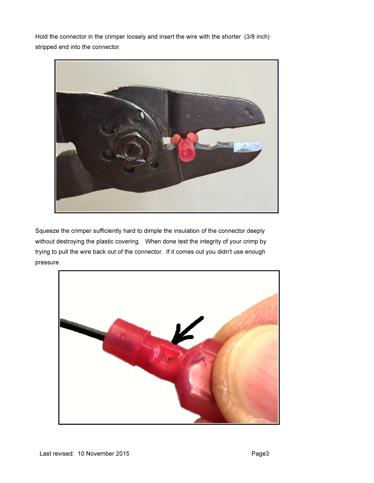Hold the connector in the crimper loosely and insert the wire with the shorter (3/8 inch) stripped end into the connector.



Squeeze the crimper sufficiently hard to dimple the insulation of the connector deeply without destroying the plastic covering. When done test the integrity of your crimp by trying to pull the wire back out of the connector. If it comes out you didn't use enough pressure.